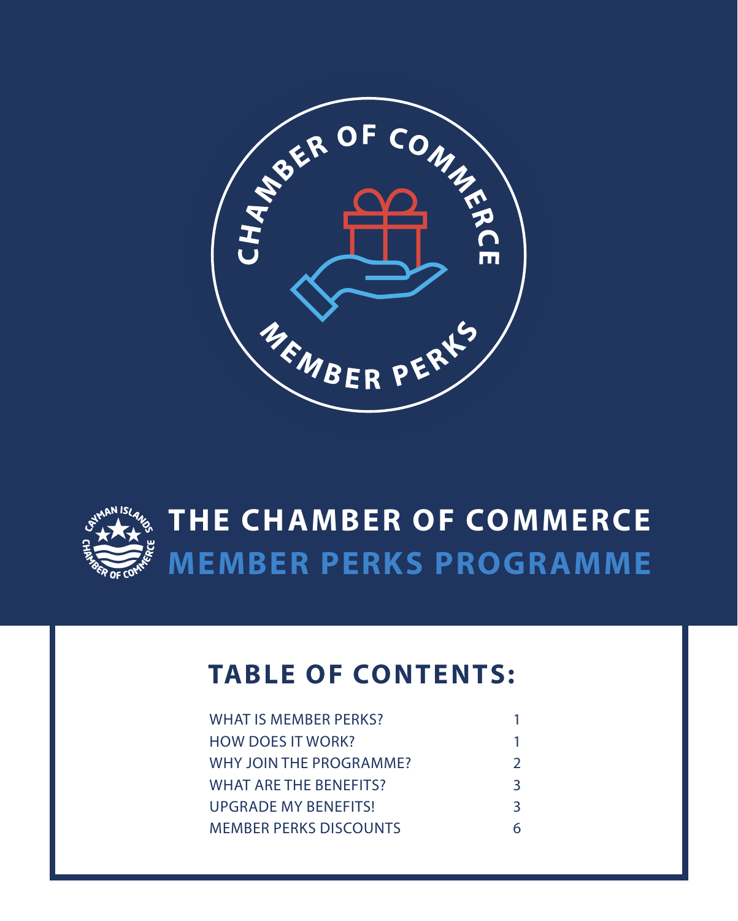



# **MEMBER PERKS PROGRAMME THE CHAMBER OF COMMERCE**

## **TABLE OF CONTENTS:**

| WHAT IS MEMBER PERKS?         |               |
|-------------------------------|---------------|
| <b>HOW DOES IT WORK?</b>      | 1             |
| WHY JOIN THE PROGRAMME?       | $\mathcal{L}$ |
| <b>WHAT ARE THE BENEFITS?</b> | 3             |
| UPGRADE MY BENEFITS!          | 3             |
| <b>MEMBER PERKS DISCOUNTS</b> | 6             |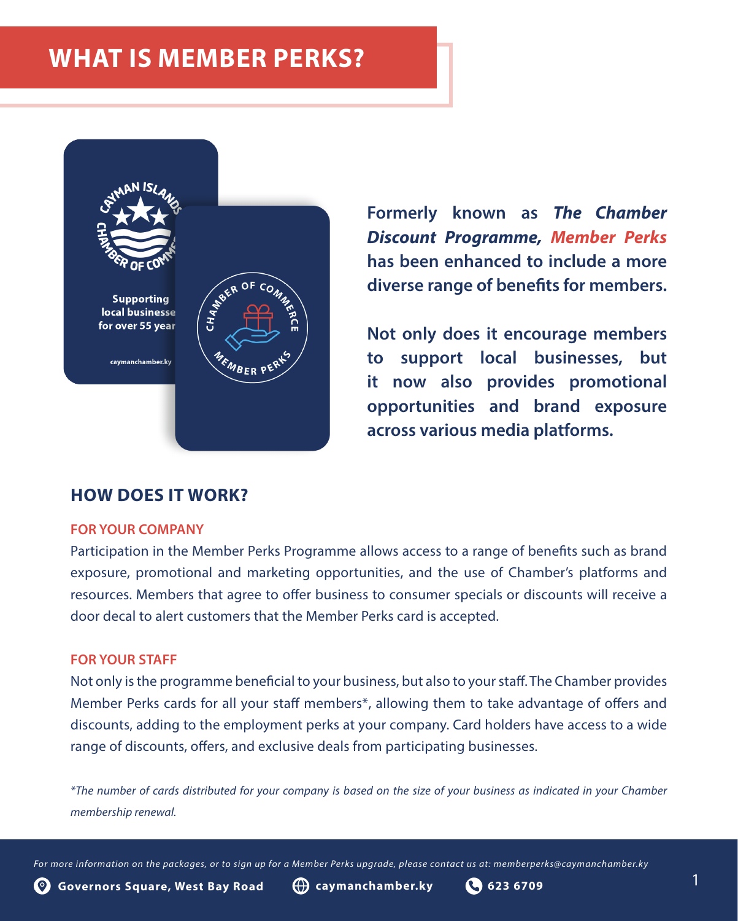## **WHAT IS MEMBER PERKS?**



**HOW DOES IT WORK?**

### **FOR YOUR COMPANY**

Participation in the Member Perks Programme allows access to a range of benefits such as brand exposure, promotional and marketing opportunities, and the use of Chamber's platforms and resources. Members that agree to offer business to consumer specials or discounts will receive a door decal to alert customers that the Member Perks card is accepted.

### **FOR YOUR STAFF**

Not only is the programme beneficial to your business, but also to your staff. The Chamber provides Member Perks cards for all your staff members\*, allowing them to take advantage of offers and discounts, adding to the employment perks at your company. Card holders have access to a wide range of discounts, offers, and exclusive deals from participating businesses.

*\*The number of cards distributed for your company is based on the size of your business as indicated in your Chamber membership renewal.*

*For more information on the packages, or to sign up for a Member Perks upgrade, please contact us at: memberperks@caymanchamber.ky*

**Formerly known as** *The Chamber Discount Programme, Member Perks*  **has been enhanced to include a more diverse range of benefits for members.** 

**Not only does it encourage members to support local businesses, but it now also provides promotional opportunities and brand exposure across various media platforms.**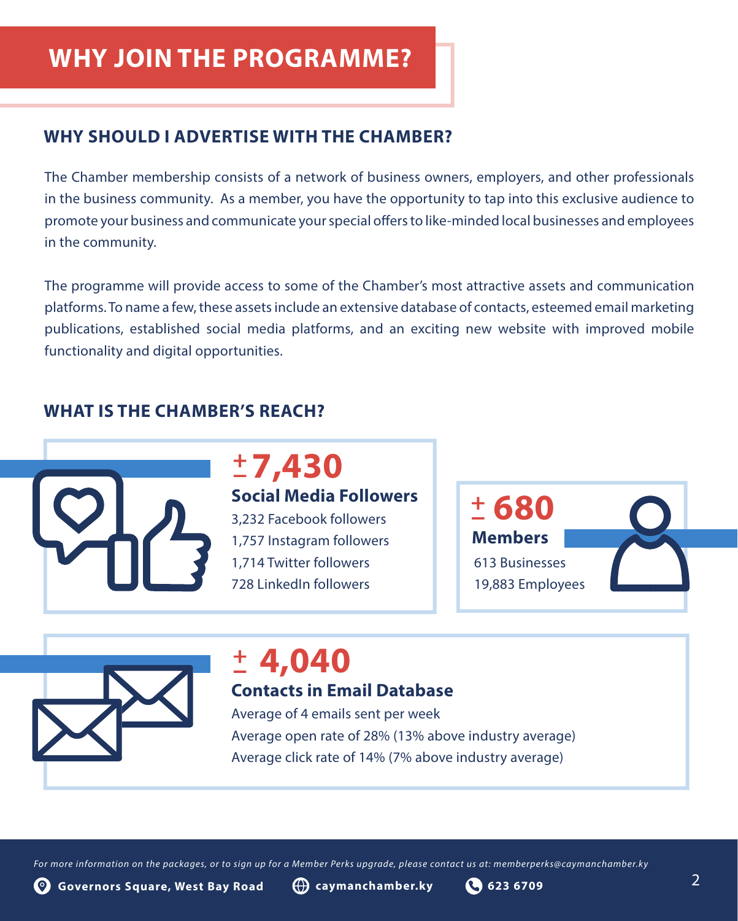## **WHY JOIN THE PROGRAMME?**

### **WHY SHOULD I ADVERTISE WITH THE CHAMBER?**

The Chamber membership consists of a network of business owners, employers, and other professionals in the business community. As a member, you have the opportunity to tap into this exclusive audience to promote your business and communicate your special offers to like-minded local businesses and employees in the community.

The programme will provide access to some of the Chamber's most attractive assets and communication platforms. To name a few, these assets include an extensive database of contacts, esteemed email marketing publications, established social media platforms, and an exciting new website with improved mobile functionality and digital opportunities.

### **WHAT IS THE CHAMBER'S REACH?**



# **7,430**

**Social Media Followers 3.232 Facebook followers**  $\begin{bmatrix} + & 680 \\ - & 680 \end{bmatrix}$ 1,757 Instagram followers 1,714 Twitter followers 728 LinkedIn followers

**Members** 613 Businesses 19,883 Employees



# $\pm 4,040$

## **Contacts in Email Database**

Average of 4 emails sent per week Average open rate of 28% (13% above industry average) Average click rate of 14% (7% above industry average)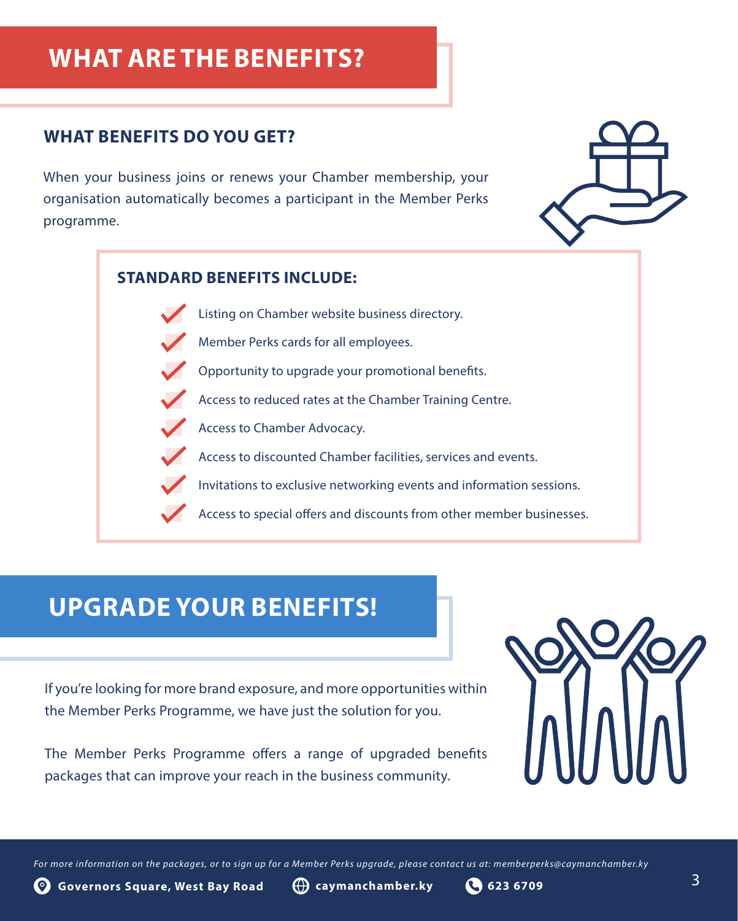## **WHAT ARE THE BENEFITS?**

### **WHAT BENEFITS DO YOU GET?**

When your business joins or renews your Chamber membership, your organisation automatically becomes a participant in the Member Perks programme.



### **STANDARD BENEFITS INCLUDE:**

- Listing on Chamber website business directory.
- Member Perks cards for all employees.
- Opportunity to upgrade your promotional benefits.
- Access to reduced rates at the Chamber Training Centre.
- Access to Chamber Advocacy.
- Access to discounted Chamber facilities, services and events.
- Invitations to exclusive networking events and information sessions.
- Access to special offers and discounts from other member businesses.

## **UPGRADE YOUR BENEFITS!**

If you're looking for more brand exposure, and more opportunities within the Member Perks Programme, we have just the solution for you.

The Member Perks Programme offers a range of upgraded benefits packages that can improve your reach in the business community.

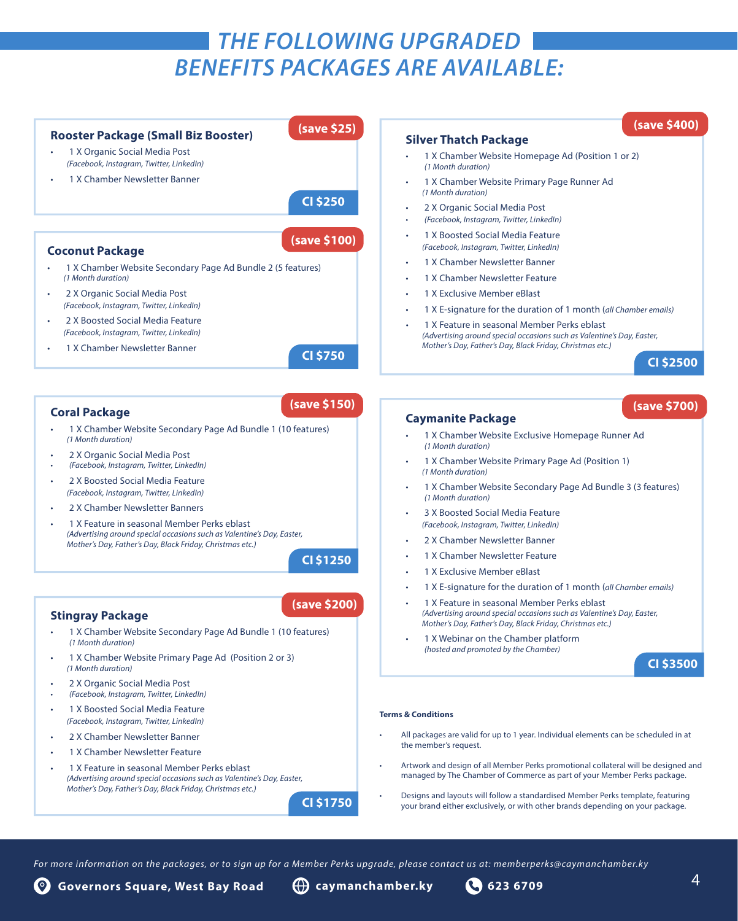### *THE FOLLOWING UPGRADED BENEFITS PACKAGES ARE AVAILABLE:*

#### **Rooster Package (Small Biz Booster)** • 1 X Organic Social Media Post *(Facebook, Instagram, Twitter, LinkedIn)*  • 1 X Chamber Newsletter Banner **CI \$250 CI \$2500 Silver Thatch Package** • 1 X Chamber Website Homepage Ad (Position 1 or 2) *(1 Month duration)*  • 1 X Chamber Website Primary Page Runner Ad *(1 Month duration)* • 2 X Organic Social Media Post *• (Facebook, Instagram, Twitter, LinkedIn)*  • 1 X Boosted Social Media Feature *(Facebook, Instagram, Twitter, LinkedIn)*  1 X Chamber Newsletter Banner • 1 X Chamber Newsletter Feature • 1 X Exclusive Member eBlast • 1 X E-signature for the duration of 1 month (*all Chamber emails)* • 1 X Feature in seasonal Member Perks eblast *(Advertising around special occasions such as Valentine's Day, Easter, Mother's Day, Father's Day, Black Friday, Christmas etc.)*  **Caymanite Package** • 1 X Chamber Website Exclusive Homepage Runner Ad *(1 Month duration)*  • 1 X Chamber Website Primary Page Ad (Position 1) *(1 Month duration)* • 1 X Chamber Website Secondary Page Ad Bundle 3 (3 features) *(1 Month duration)*  • 3 X Boosted Social Media Feature *(Facebook, Instagram, Twitter, LinkedIn)*  2 X Chamber Newsletter Banner 1 X Chamber Newsletter Feature • 1 X Exclusive Member eBlast • 1 X E-signature for the duration of 1 month (*all Chamber emails)* • 1 X Feature in seasonal Member Perks eblast *(Advertising around special occasions such as Valentine's Day, Easter, Mother's Day, Father's Day, Black Friday, Christmas etc.)* 1 X Webinar on the Chamber platform **Coral Package** • 1 X Chamber Website Secondary Page Ad Bundle 1 (10 features) *(1 Month duration)* • 2 X Organic Social Media Post *• (Facebook, Instagram, Twitter, LinkedIn)*  2 X Boosted Social Media Feature *(Facebook, Instagram, Twitter, LinkedIn)*  2 X Chamber Newsletter Banners • 1 X Feature in seasonal Member Perks eblast *(Advertising around special occasions such as Valentine's Day, Easter, Mother's Day, Father's Day, Black Friday, Christmas etc.)*  **CI \$1250 Stingray Package** • 1 X Chamber Website Secondary Page Ad Bundle 1 (10 features) *(1 Month duration)*  **CI \$750 Coconut Package** • 1 X Chamber Website Secondary Page Ad Bundle 2 (5 features) *(1 Month duration)* • 2 X Organic Social Media Post *(Facebook, Instagram, Twitter, LinkedIn)*  • 2 X Boosted Social Media Feature *(Facebook, Instagram, Twitter, LinkedIn)*  • 1 X Chamber Newsletter Banner **(save \$200) (save \$100) (save \$25) (save \$700) (save \$400) (save \$150)**

- 1 X Chamber Website Primary Page Ad (Position 2 or 3) *(1 Month duration)*
- 2 X Organic Social Media Post
- *• (Facebook, Instagram, Twitter, LinkedIn)*
- 1 X Boosted Social Media Feature *(Facebook, Instagram, Twitter, LinkedIn)*
- 2 X Chamber Newsletter Banner
- 1 X Chamber Newsletter Feature
- 1 X Feature in seasonal Member Perks eblast *(Advertising around special occasions such as Valentine's Day, Easter, Mother's Day, Father's Day, Black Friday, Christmas etc.)*

**CI \$1750**

*(hosted and promoted by the Chamber)*

**CI \$3500**

#### **Terms & Conditions**

- All packages are valid for up to 1 year. Individual elements can be scheduled in at the member's request.
- Artwork and design of all Member Perks promotional collateral will be designed and managed by The Chamber of Commerce as part of your Member Perks package.
- Designs and layouts will follow a standardised Member Perks template, featuring your brand either exclusively, or with other brands depending on your package.

*For more information on the packages, or to sign up for a Member Perks upgrade, please contact us at: memberperks@caymanchamber.ky*

**Governors Square, West Bay Road caymanchamber.ky 623 6709**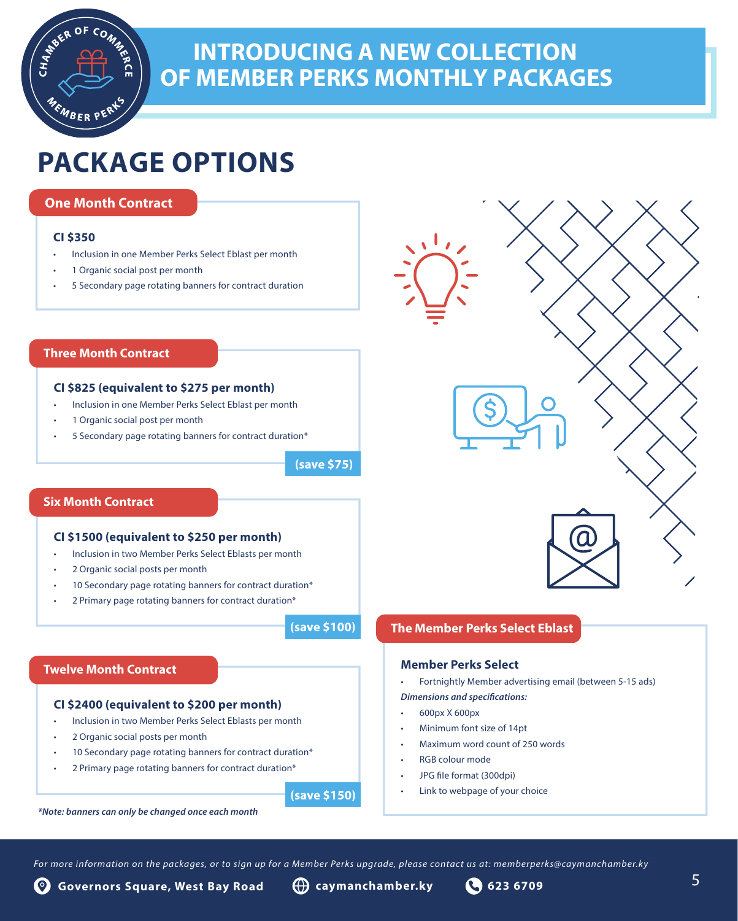## **INTRODUCING A NEW COLLECTION OF MEMBER PERKS MONTHLY PACKAGES**

## **PACKAGE OPTIONS**

### **One Month Contract**

BER PER

### **CI \$350**

CHAMER

- Inclusion in one Member Perks Select Eblast per month
- 1 Organic social post per month
- 5 Secondary page rotating banners for contract duration

### **Three Month Contract**

### **CI \$825 (equivalent to \$275 per month)**

- Inclusion in one Member Perks Select Eblast per month
- 1 Organic social post per month
- 5 Secondary page rotating banners for contract duration\*

**(save \$75)**

### **Six Month Contract**

### **CI \$1500 (equivalent to \$250 per month)**

- Inclusion in two Member Perks Select Eblasts per month
- 2 Organic social posts per month
- 10 Secondary page rotating banners for contract duration\*
- 2 Primary page rotating banners for contract duration\*

**(save \$100)**

### **Twelve Month Contract**

### **CI \$2400 (equivalent to \$200 per month)**

- Inclusion in two Member Perks Select Eblasts per month
- 2 Organic social posts per month
- 10 Secondary page rotating banners for contract duration\*
- 2 Primary page rotating banners for contract duration\*

**(save \$150)**

### **The Member Perks Select Eblast**

### **Member Perks Select**

• Fortnightly Member advertising email (between 5-15 ads)

### *Dimensions and specifications:*

- 600px X 600px
- Minimum font size of 14pt
- Maximum word count of 250 words
- RGB colour mode
- JPG file format (300dpi)
- Link to webpage of your choice

*\*Note: banners can only be changed once each month*

For more information on the packages, or to sign up for a Member Perks upgrade, please contact us at: memberperks@caymanchamber.ky

**Governors Square, West Bay Road caymanchamber.ky 623 6709 Governors Square, West Bay Road caymanchamber.ky 623 6709**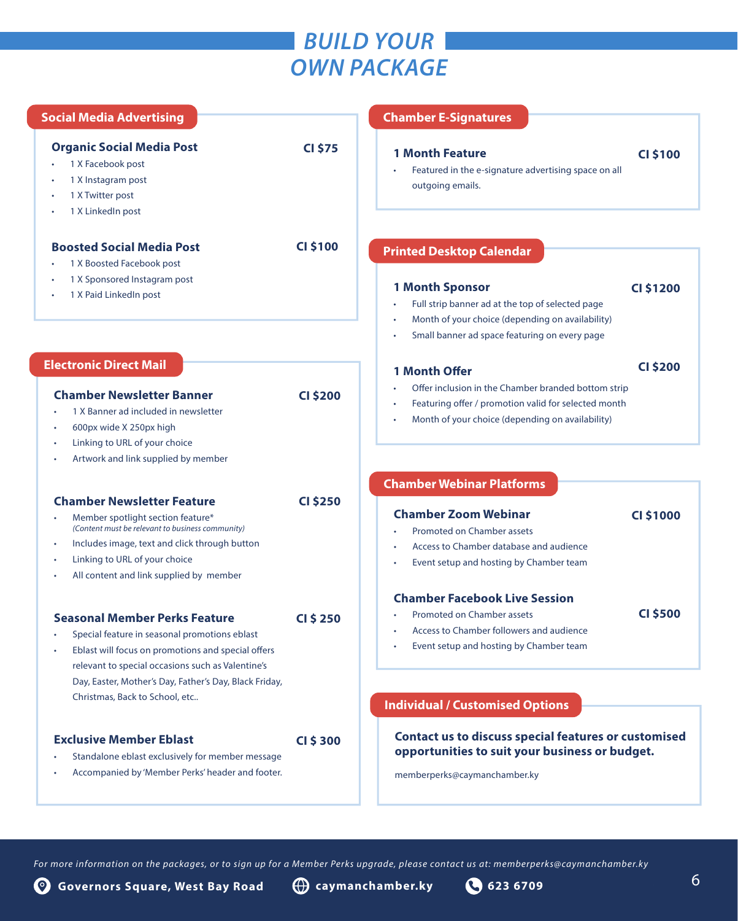### *BUILD YOUR OWN PACKAGE*

| <b>Social Media Advertising</b>                                                                                                                                                                                                                                                              |                 | <b>Chamber E-Signatures</b>                                                                                                                                                                                                   |
|----------------------------------------------------------------------------------------------------------------------------------------------------------------------------------------------------------------------------------------------------------------------------------------------|-----------------|-------------------------------------------------------------------------------------------------------------------------------------------------------------------------------------------------------------------------------|
| <b>Organic Social Media Post</b><br>1 X Facebook post<br>1 X Instagram post<br>1 X Twitter post<br>1 X LinkedIn post                                                                                                                                                                         | <b>CI \$75</b>  | <b>1 Month Feature</b><br><b>CI \$100</b><br>Featured in the e-signature advertising space on all<br>outgoing emails.                                                                                                         |
| <b>Boosted Social Media Post</b>                                                                                                                                                                                                                                                             | <b>CI \$100</b> | <b>Printed Desktop Calendar</b>                                                                                                                                                                                               |
| 1 X Boosted Facebook post<br>1 X Sponsored Instagram post<br>1 X Paid LinkedIn post                                                                                                                                                                                                          |                 | <b>1 Month Sponsor</b><br><b>CI \$1200</b><br>Full strip banner ad at the top of selected page<br>Month of your choice (depending on availability)<br>٠<br>Small banner ad space featuring on every page                      |
| <b>Electronic Direct Mail</b>                                                                                                                                                                                                                                                                |                 | <b>CI \$200</b><br><b>1 Month Offer</b>                                                                                                                                                                                       |
| <b>Chamber Newsletter Banner</b><br>1 X Banner ad included in newsletter<br>600px wide X 250px high<br>Linking to URL of your choice<br>Artwork and link supplied by member                                                                                                                  | <b>CI \$200</b> | Offer inclusion in the Chamber branded bottom strip<br>Featuring offer / promotion valid for selected month<br>Month of your choice (depending on availability)                                                               |
|                                                                                                                                                                                                                                                                                              |                 | <b>Chamber Webinar Platforms</b>                                                                                                                                                                                              |
| <b>Chamber Newsletter Feature</b><br>Member spotlight section feature*<br>(Content must be relevant to business community)<br>Includes image, text and click through button<br>٠<br>Linking to URL of your choice<br>٠<br>All content and link supplied by member                            | <b>CI \$250</b> | <b>Chamber Zoom Webinar</b><br><b>CI \$1000</b><br>Promoted on Chamber assets<br>Access to Chamber database and audience<br>Event setup and hosting by Chamber team                                                           |
| <b>Seasonal Member Perks Feature</b><br>Special feature in seasonal promotions eblast<br>Eblast will focus on promotions and special offers<br>relevant to special occasions such as Valentine's<br>Day, Easter, Mother's Day, Father's Day, Black Friday,<br>Christmas, Back to School, etc | <b>CI \$250</b> | <b>Chamber Facebook Live Session</b><br><b>CI \$500</b><br><b>Promoted on Chamber assets</b><br>Access to Chamber followers and audience<br>Event setup and hosting by Chamber team<br><b>Individual / Customised Options</b> |
| <b>Exclusive Member Eblast</b><br>Standalone eblast exclusively for member message<br>Accompanied by 'Member Perks' header and footer.                                                                                                                                                       | <b>CI \$300</b> | <b>Contact us to discuss special features or customised</b><br>opportunities to suit your business or budget.<br>memberperks@caymanchamber.ky                                                                                 |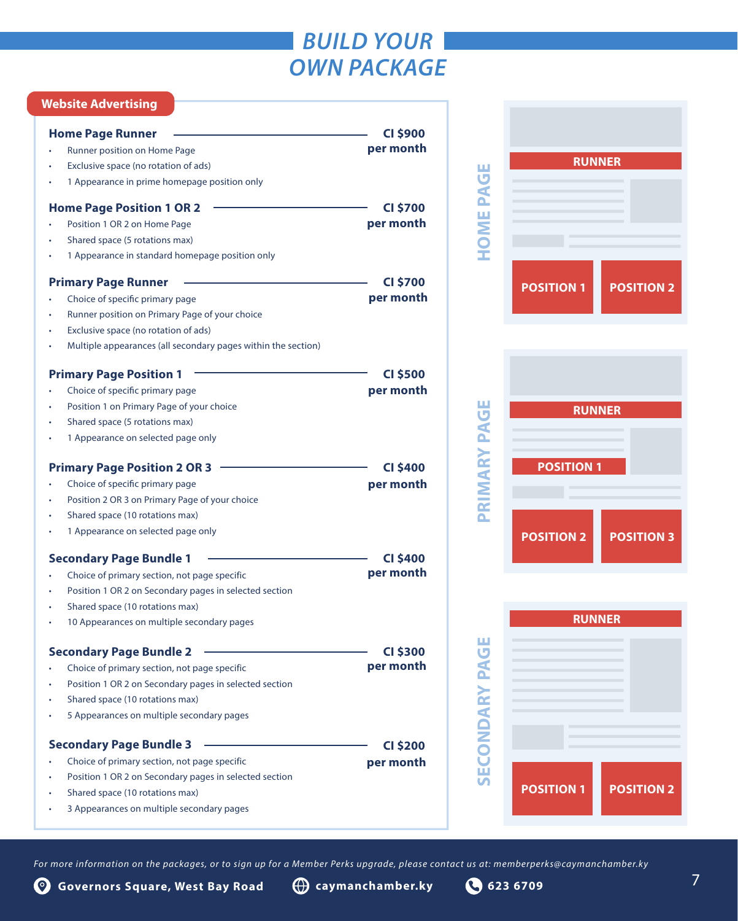## *BUILD YOUR OWN PACKAGE*

### **Website Advertising**

| <b>Home Page Runner</b>                                                              | <b>CI \$900</b><br>per month |                     |
|--------------------------------------------------------------------------------------|------------------------------|---------------------|
| Runner position on Home Page                                                         |                              |                     |
| Exclusive space (no rotation of ads)<br>1 Appearance in prime homepage position only |                              |                     |
|                                                                                      |                              |                     |
| <b>Home Page Position 1 OR 2</b>                                                     | <b>CI \$700</b>              | <b>HOME PAGE</b>    |
| Position 1 OR 2 on Home Page                                                         | per month                    |                     |
| Shared space (5 rotations max)                                                       |                              |                     |
| 1 Appearance in standard homepage position only                                      |                              |                     |
| <b>Primary Page Runner</b>                                                           | <b>CI \$700</b>              |                     |
| Choice of specific primary page                                                      | per month                    |                     |
| Runner position on Primary Page of your choice                                       |                              |                     |
| Exclusive space (no rotation of ads)                                                 |                              |                     |
| Multiple appearances (all secondary pages within the section)                        |                              |                     |
| <b>Primary Page Position 1</b>                                                       | <b>CI \$500</b>              |                     |
| Choice of specific primary page                                                      | per month                    |                     |
| Position 1 on Primary Page of your choice                                            |                              |                     |
| Shared space (5 rotations max)                                                       |                              |                     |
| 1 Appearance on selected page only                                                   |                              | PRIMARY PAGE        |
| <b>Primary Page Position 2 OR 3</b>                                                  | <b>CI \$400</b>              |                     |
| Choice of specific primary page                                                      | per month                    |                     |
| Position 2 OR 3 on Primary Page of your choice                                       |                              |                     |
| Shared space (10 rotations max)                                                      |                              |                     |
| 1 Appearance on selected page only                                                   |                              |                     |
| <b>Secondary Page Bundle 1</b>                                                       | <b>CI \$400</b>              |                     |
| Choice of primary section, not page specific                                         | per month                    |                     |
| Position 1 OR 2 on Secondary pages in selected section                               |                              |                     |
| Shared space (10 rotations max)                                                      |                              |                     |
| 10 Appearances on multiple secondary pages                                           |                              |                     |
| <b>Secondary Page Bundle 2</b>                                                       | <b>CI \$300</b>              | ш<br>ъ,             |
| Choice of primary section, not page specific                                         | per month                    |                     |
| Position 1 OR 2 on Secondary pages in selected section                               |                              |                     |
| Shared space (10 rotations max)                                                      |                              |                     |
| 5 Appearances on multiple secondary pages                                            |                              |                     |
| <b>Secondary Page Bundle 3</b>                                                       | <b>CI \$200</b>              | <b>SECONDARY PA</b> |
| Choice of primary section, not page specific                                         | per month                    |                     |
| Position 1 OR 2 on Secondary pages in selected section                               |                              |                     |
| Shared space (10 rotations max)                                                      |                              |                     |
| 3 Appearances on multiple secondary pages                                            |                              |                     |